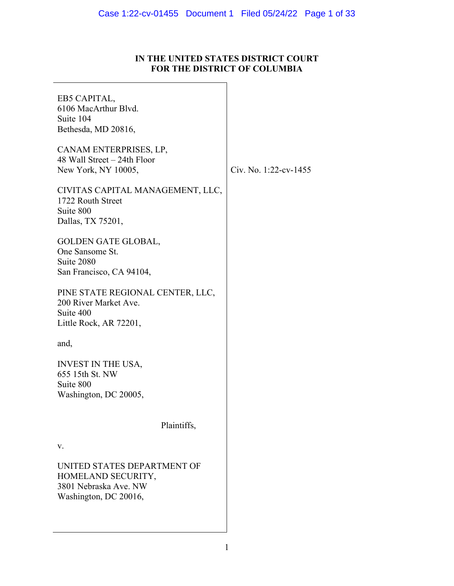# **IN THE UNITED STATES DISTRICT COURT FOR THE DISTRICT OF COLUMBIA**

| EB5 CAPITAL,<br>6106 MacArthur Blvd.<br>Suite 104<br>Bethesda, MD 20816,                            |                       |
|-----------------------------------------------------------------------------------------------------|-----------------------|
| CANAM ENTERPRISES, LP,<br>48 Wall Street - 24th Floor<br>New York, NY 10005,                        | Civ. No. 1:22-cv-1455 |
| CIVITAS CAPITAL MANAGEMENT, LLC,<br>1722 Routh Street<br>Suite 800<br>Dallas, TX 75201,             |                       |
| GOLDEN GATE GLOBAL,<br>One Sansome St.<br>Suite 2080<br>San Francisco, CA 94104,                    |                       |
| PINE STATE REGIONAL CENTER, LLC,<br>200 River Market Ave.<br>Suite 400<br>Little Rock, AR 72201,    |                       |
| and,                                                                                                |                       |
| <b>INVEST IN THE USA,</b><br>655 15th St. NW<br>Suite 800<br>Washington, DC 20005,                  |                       |
| Plaintiffs,                                                                                         |                       |
| v.                                                                                                  |                       |
| UNITED STATES DEPARTMENT OF<br>HOMELAND SECURITY,<br>3801 Nebraska Ave. NW<br>Washington, DC 20016, |                       |
|                                                                                                     |                       |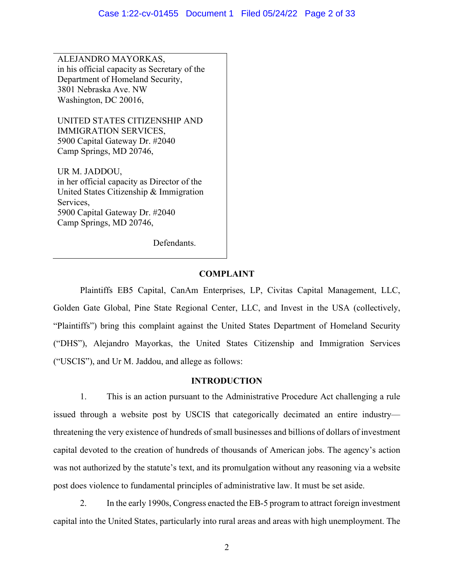ALEJANDRO MAYORKAS, in his official capacity as Secretary of the Department of Homeland Security, 3801 Nebraska Ave. NW Washington, DC 20016,

UNITED STATES CITIZENSHIP AND IMMIGRATION SERVICES, 5900 Capital Gateway Dr. #2040 Camp Springs, MD 20746,

UR M. JADDOU, in her official capacity as Director of the United States Citizenship & Immigration Services, 5900 Capital Gateway Dr. #2040 Camp Springs, MD 20746,

Defendants.

## **COMPLAINT**

Plaintiffs EB5 Capital, CanAm Enterprises, LP, Civitas Capital Management, LLC, Golden Gate Global, Pine State Regional Center, LLC, and Invest in the USA (collectively, "Plaintiffs") bring this complaint against the United States Department of Homeland Security ("DHS"), Alejandro Mayorkas, the United States Citizenship and Immigration Services ("USCIS"), and Ur M. Jaddou, and allege as follows:

## **INTRODUCTION**

1. This is an action pursuant to the Administrative Procedure Act challenging a rule issued through a website post by USCIS that categorically decimated an entire industry threatening the very existence of hundreds of small businesses and billions of dollars of investment capital devoted to the creation of hundreds of thousands of American jobs. The agency's action was not authorized by the statute's text, and its promulgation without any reasoning via a website post does violence to fundamental principles of administrative law. It must be set aside.

2. In the early 1990s, Congress enacted the EB-5 program to attract foreign investment capital into the United States, particularly into rural areas and areas with high unemployment. The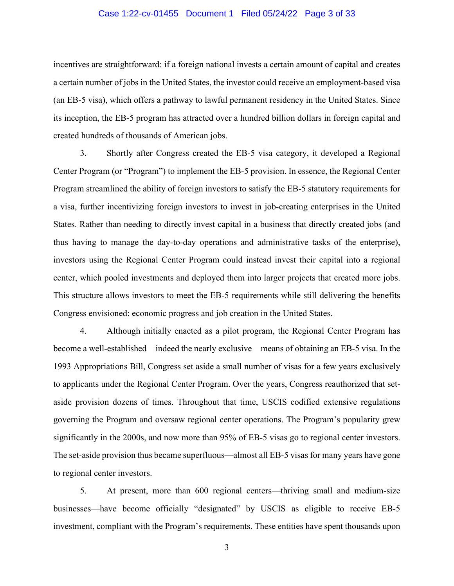#### Case 1:22-cv-01455 Document 1 Filed 05/24/22 Page 3 of 33

incentives are straightforward: if a foreign national invests a certain amount of capital and creates a certain number of jobs in the United States, the investor could receive an employment-based visa (an EB-5 visa), which offers a pathway to lawful permanent residency in the United States. Since its inception, the EB-5 program has attracted over a hundred billion dollars in foreign capital and created hundreds of thousands of American jobs.

3. Shortly after Congress created the EB-5 visa category, it developed a Regional Center Program (or "Program") to implement the EB-5 provision. In essence, the Regional Center Program streamlined the ability of foreign investors to satisfy the EB-5 statutory requirements for a visa, further incentivizing foreign investors to invest in job-creating enterprises in the United States. Rather than needing to directly invest capital in a business that directly created jobs (and thus having to manage the day-to-day operations and administrative tasks of the enterprise), investors using the Regional Center Program could instead invest their capital into a regional center, which pooled investments and deployed them into larger projects that created more jobs. This structure allows investors to meet the EB-5 requirements while still delivering the benefits Congress envisioned: economic progress and job creation in the United States.

4. Although initially enacted as a pilot program, the Regional Center Program has become a well-established—indeed the nearly exclusive—means of obtaining an EB-5 visa. In the 1993 Appropriations Bill, Congress set aside a small number of visas for a few years exclusively to applicants under the Regional Center Program. Over the years, Congress reauthorized that setaside provision dozens of times. Throughout that time, USCIS codified extensive regulations governing the Program and oversaw regional center operations. The Program's popularity grew significantly in the 2000s, and now more than 95% of EB-5 visas go to regional center investors. The set-aside provision thus became superfluous—almost all EB-5 visas for many years have gone to regional center investors.

5. At present, more than 600 regional centers—thriving small and medium-size businesses—have become officially "designated" by USCIS as eligible to receive EB-5 investment, compliant with the Program's requirements. These entities have spent thousands upon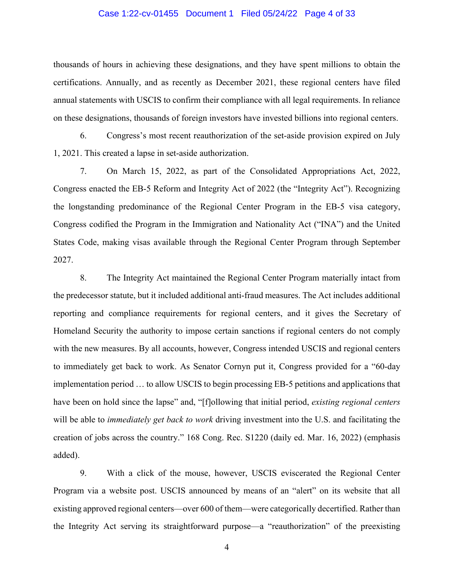#### Case 1:22-cv-01455 Document 1 Filed 05/24/22 Page 4 of 33

thousands of hours in achieving these designations, and they have spent millions to obtain the certifications. Annually, and as recently as December 2021, these regional centers have filed annual statements with USCIS to confirm their compliance with all legal requirements. In reliance on these designations, thousands of foreign investors have invested billions into regional centers.

6. Congress's most recent reauthorization of the set-aside provision expired on July 1, 2021. This created a lapse in set-aside authorization.

7. On March 15, 2022, as part of the Consolidated Appropriations Act, 2022, Congress enacted the EB-5 Reform and Integrity Act of 2022 (the "Integrity Act"). Recognizing the longstanding predominance of the Regional Center Program in the EB-5 visa category, Congress codified the Program in the Immigration and Nationality Act ("INA") and the United States Code, making visas available through the Regional Center Program through September 2027.

8. The Integrity Act maintained the Regional Center Program materially intact from the predecessor statute, but it included additional anti-fraud measures. The Act includes additional reporting and compliance requirements for regional centers, and it gives the Secretary of Homeland Security the authority to impose certain sanctions if regional centers do not comply with the new measures. By all accounts, however, Congress intended USCIS and regional centers to immediately get back to work. As Senator Cornyn put it, Congress provided for a "60-day implementation period … to allow USCIS to begin processing EB-5 petitions and applications that have been on hold since the lapse" and, "[f]ollowing that initial period, *existing regional centers* will be able to *immediately get back to work* driving investment into the U.S. and facilitating the creation of jobs across the country." 168 Cong. Rec. S1220 (daily ed. Mar. 16, 2022) (emphasis added).

9. With a click of the mouse, however, USCIS eviscerated the Regional Center Program via a website post. USCIS announced by means of an "alert" on its website that all existing approved regional centers—over 600 of them—were categorically decertified. Rather than the Integrity Act serving its straightforward purpose—a "reauthorization" of the preexisting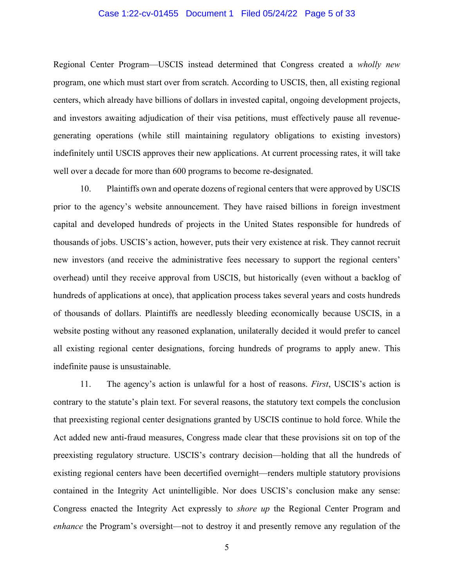#### Case 1:22-cv-01455 Document 1 Filed 05/24/22 Page 5 of 33

Regional Center Program—USCIS instead determined that Congress created a *wholly new*  program, one which must start over from scratch. According to USCIS, then, all existing regional centers, which already have billions of dollars in invested capital, ongoing development projects, and investors awaiting adjudication of their visa petitions, must effectively pause all revenuegenerating operations (while still maintaining regulatory obligations to existing investors) indefinitely until USCIS approves their new applications. At current processing rates, it will take well over a decade for more than 600 programs to become re-designated.

10. Plaintiffs own and operate dozens of regional centers that were approved by USCIS prior to the agency's website announcement. They have raised billions in foreign investment capital and developed hundreds of projects in the United States responsible for hundreds of thousands of jobs. USCIS's action, however, puts their very existence at risk. They cannot recruit new investors (and receive the administrative fees necessary to support the regional centers' overhead) until they receive approval from USCIS, but historically (even without a backlog of hundreds of applications at once), that application process takes several years and costs hundreds of thousands of dollars. Plaintiffs are needlessly bleeding economically because USCIS, in a website posting without any reasoned explanation, unilaterally decided it would prefer to cancel all existing regional center designations, forcing hundreds of programs to apply anew. This indefinite pause is unsustainable.

11. The agency's action is unlawful for a host of reasons. *First*, USCIS's action is contrary to the statute's plain text. For several reasons, the statutory text compels the conclusion that preexisting regional center designations granted by USCIS continue to hold force. While the Act added new anti-fraud measures, Congress made clear that these provisions sit on top of the preexisting regulatory structure. USCIS's contrary decision—holding that all the hundreds of existing regional centers have been decertified overnight—renders multiple statutory provisions contained in the Integrity Act unintelligible. Nor does USCIS's conclusion make any sense: Congress enacted the Integrity Act expressly to *shore up* the Regional Center Program and *enhance* the Program's oversight—not to destroy it and presently remove any regulation of the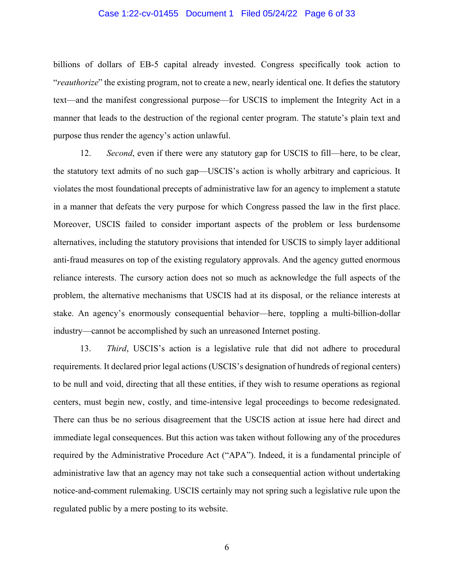#### Case 1:22-cv-01455 Document 1 Filed 05/24/22 Page 6 of 33

billions of dollars of EB-5 capital already invested. Congress specifically took action to "*reauthorize*" the existing program, not to create a new, nearly identical one. It defies the statutory text—and the manifest congressional purpose—for USCIS to implement the Integrity Act in a manner that leads to the destruction of the regional center program. The statute's plain text and purpose thus render the agency's action unlawful.

12. *Second*, even if there were any statutory gap for USCIS to fill—here, to be clear, the statutory text admits of no such gap—USCIS's action is wholly arbitrary and capricious. It violates the most foundational precepts of administrative law for an agency to implement a statute in a manner that defeats the very purpose for which Congress passed the law in the first place. Moreover, USCIS failed to consider important aspects of the problem or less burdensome alternatives, including the statutory provisions that intended for USCIS to simply layer additional anti-fraud measures on top of the existing regulatory approvals. And the agency gutted enormous reliance interests. The cursory action does not so much as acknowledge the full aspects of the problem, the alternative mechanisms that USCIS had at its disposal, or the reliance interests at stake. An agency's enormously consequential behavior—here, toppling a multi-billion-dollar industry—cannot be accomplished by such an unreasoned Internet posting.

13. *Third*, USCIS's action is a legislative rule that did not adhere to procedural requirements. It declared prior legal actions (USCIS's designation of hundreds of regional centers) to be null and void, directing that all these entities, if they wish to resume operations as regional centers, must begin new, costly, and time-intensive legal proceedings to become redesignated. There can thus be no serious disagreement that the USCIS action at issue here had direct and immediate legal consequences. But this action was taken without following any of the procedures required by the Administrative Procedure Act ("APA"). Indeed, it is a fundamental principle of administrative law that an agency may not take such a consequential action without undertaking notice-and-comment rulemaking. USCIS certainly may not spring such a legislative rule upon the regulated public by a mere posting to its website.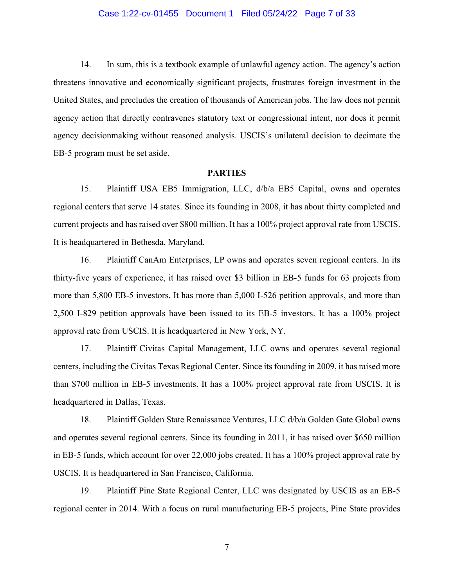#### Case 1:22-cv-01455 Document 1 Filed 05/24/22 Page 7 of 33

14. In sum, this is a textbook example of unlawful agency action. The agency's action threatens innovative and economically significant projects, frustrates foreign investment in the United States, and precludes the creation of thousands of American jobs. The law does not permit agency action that directly contravenes statutory text or congressional intent, nor does it permit agency decisionmaking without reasoned analysis. USCIS's unilateral decision to decimate the EB-5 program must be set aside.

#### **PARTIES**

15. Plaintiff USA EB5 Immigration, LLC, d/b/a EB5 Capital, owns and operates regional centers that serve 14 states. Since its founding in 2008, it has about thirty completed and current projects and has raised over \$800 million. It has a 100% project approval rate from USCIS. It is headquartered in Bethesda, Maryland.

16. Plaintiff CanAm Enterprises, LP owns and operates seven regional centers. In its thirty-five years of experience, it has raised over \$3 billion in EB-5 funds for 63 projects from more than 5,800 EB-5 investors. It has more than 5,000 I-526 petition approvals, and more than 2,500 I-829 petition approvals have been issued to its EB-5 investors. It has a 100% project approval rate from USCIS. It is headquartered in New York, NY.

17. Plaintiff Civitas Capital Management, LLC owns and operates several regional centers, including the Civitas Texas Regional Center. Since its founding in 2009, it has raised more than \$700 million in EB-5 investments. It has a 100% project approval rate from USCIS. It is headquartered in Dallas, Texas.

18. Plaintiff Golden State Renaissance Ventures, LLC d/b/a Golden Gate Global owns and operates several regional centers. Since its founding in 2011, it has raised over \$650 million in EB-5 funds, which account for over 22,000 jobs created. It has a 100% project approval rate by USCIS. It is headquartered in San Francisco, California.

19. Plaintiff Pine State Regional Center, LLC was designated by USCIS as an EB-5 regional center in 2014. With a focus on rural manufacturing EB-5 projects, Pine State provides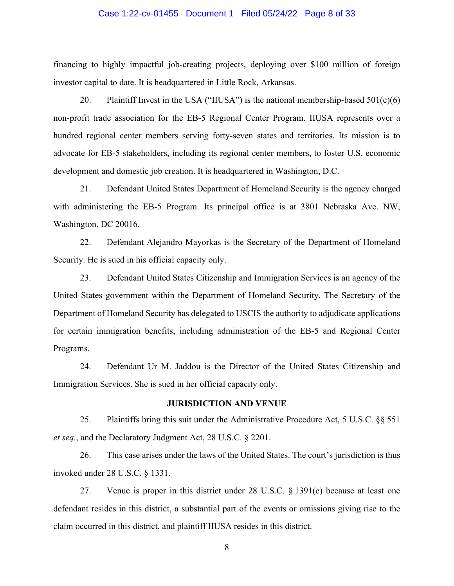#### Case 1:22-cv-01455 Document 1 Filed 05/24/22 Page 8 of 33

financing to highly impactful job-creating projects, deploying over \$100 million of foreign investor capital to date. It is headquartered in Little Rock, Arkansas.

20. Plaintiff Invest in the USA ("IIUSA") is the national membership-based  $501(c)(6)$ non-profit trade association for the EB-5 Regional Center Program. IIUSA represents over a hundred regional center members serving forty-seven states and territories. Its mission is to advocate for EB-5 stakeholders, including its regional center members, to foster U.S. economic development and domestic job creation. It is headquartered in Washington, D.C.

21. Defendant United States Department of Homeland Security is the agency charged with administering the EB-5 Program. Its principal office is at 3801 Nebraska Ave. NW, Washington, DC 20016.

22. Defendant Alejandro Mayorkas is the Secretary of the Department of Homeland Security. He is sued in his official capacity only.

23. Defendant United States Citizenship and Immigration Services is an agency of the United States government within the Department of Homeland Security. The Secretary of the Department of Homeland Security has delegated to USCIS the authority to adjudicate applications for certain immigration benefits, including administration of the EB-5 and Regional Center Programs.

24. Defendant Ur M. Jaddou is the Director of the United States Citizenship and Immigration Services. She is sued in her official capacity only.

### **JURISDICTION AND VENUE**

25. Plaintiffs bring this suit under the Administrative Procedure Act, 5 U.S.C. §§ 551 *et seq.*, and the Declaratory Judgment Act, 28 U.S.C. § 2201.

26. This case arises under the laws of the United States. The court's jurisdiction is thus invoked under 28 U.S.C. § 1331.

27. Venue is proper in this district under 28 U.S.C. § 1391(e) because at least one defendant resides in this district, a substantial part of the events or omissions giving rise to the claim occurred in this district, and plaintiff IIUSA resides in this district.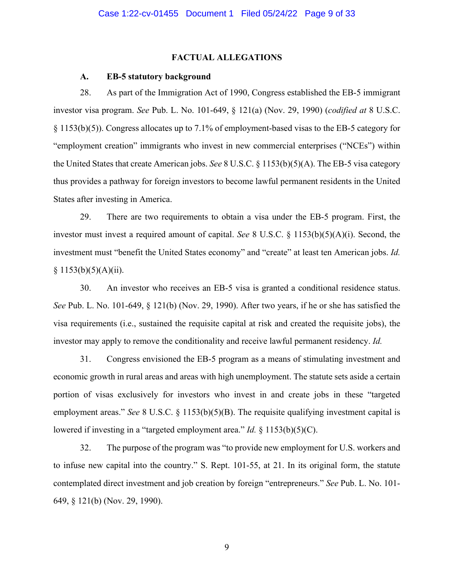#### **FACTUAL ALLEGATIONS**

## **A. EB-5 statutory background**

28. As part of the Immigration Act of 1990, Congress established the EB-5 immigrant investor visa program. *See* Pub. L. No. 101-649, § 121(a) (Nov. 29, 1990) (*codified at* 8 U.S.C. § 1153(b)(5)). Congress allocates up to 7.1% of employment-based visas to the EB-5 category for "employment creation" immigrants who invest in new commercial enterprises ("NCEs") within the United States that create American jobs. *See* 8 U.S.C. § 1153(b)(5)(A). The EB-5 visa category thus provides a pathway for foreign investors to become lawful permanent residents in the United States after investing in America.

29. There are two requirements to obtain a visa under the EB-5 program. First, the investor must invest a required amount of capital. *See* 8 U.S.C. § 1153(b)(5)(A)(i). Second, the investment must "benefit the United States economy" and "create" at least ten American jobs. *Id.*  $§ 1153(b)(5)(A)(ii).$ 

30. An investor who receives an EB-5 visa is granted a conditional residence status. *See* Pub. L. No. 101-649, § 121(b) (Nov. 29, 1990). After two years, if he or she has satisfied the visa requirements (i.e., sustained the requisite capital at risk and created the requisite jobs), the investor may apply to remove the conditionality and receive lawful permanent residency. *Id.*

31. Congress envisioned the EB-5 program as a means of stimulating investment and economic growth in rural areas and areas with high unemployment. The statute sets aside a certain portion of visas exclusively for investors who invest in and create jobs in these "targeted employment areas." *See* 8 U.S.C. § 1153(b)(5)(B). The requisite qualifying investment capital is lowered if investing in a "targeted employment area." *Id.* § 1153(b)(5)(C).

32. The purpose of the program was "to provide new employment for U.S. workers and to infuse new capital into the country." S. Rept. 101-55, at 21. In its original form, the statute contemplated direct investment and job creation by foreign "entrepreneurs." *See* Pub. L. No. 101- 649, § 121(b) (Nov. 29, 1990).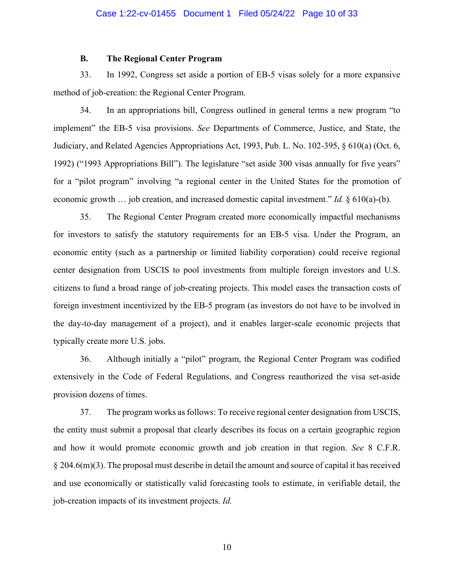#### **B. The Regional Center Program**

33. In 1992, Congress set aside a portion of EB-5 visas solely for a more expansive method of job-creation: the Regional Center Program.

34. In an appropriations bill, Congress outlined in general terms a new program "to implement" the EB-5 visa provisions. *See* Departments of Commerce, Justice, and State, the Judiciary, and Related Agencies Appropriations Act, 1993, Pub. L. No. 102-395, § 610(a) (Oct. 6, 1992) ("1993 Appropriations Bill"). The legislature "set aside 300 visas annually for five years" for a "pilot program" involving "a regional center in the United States for the promotion of economic growth … job creation, and increased domestic capital investment." *Id.* § 610(a)-(b).

35. The Regional Center Program created more economically impactful mechanisms for investors to satisfy the statutory requirements for an EB-5 visa. Under the Program, an economic entity (such as a partnership or limited liability corporation) could receive regional center designation from USCIS to pool investments from multiple foreign investors and U.S. citizens to fund a broad range of job-creating projects. This model eases the transaction costs of foreign investment incentivized by the EB-5 program (as investors do not have to be involved in the day-to-day management of a project), and it enables larger-scale economic projects that typically create more U.S. jobs.

36. Although initially a "pilot" program, the Regional Center Program was codified extensively in the Code of Federal Regulations, and Congress reauthorized the visa set-aside provision dozens of times.

37. The program works as follows: To receive regional center designation from USCIS, the entity must submit a proposal that clearly describes its focus on a certain geographic region and how it would promote economic growth and job creation in that region. *See* 8 C.F.R. § 204.6(m)(3). The proposal must describe in detail the amount and source of capital it hasreceived and use economically or statistically valid forecasting tools to estimate, in verifiable detail, the job-creation impacts of its investment projects. *Id.*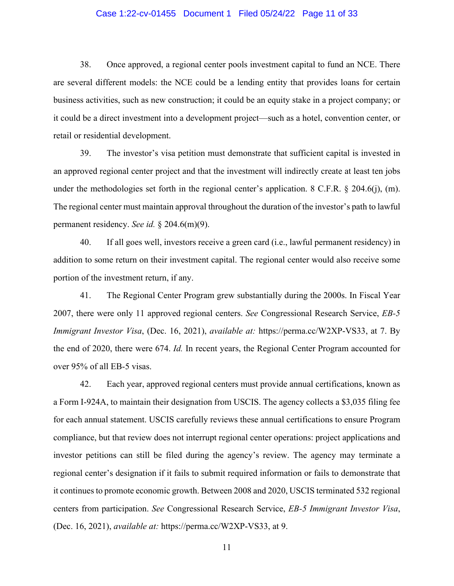#### Case 1:22-cv-01455 Document 1 Filed 05/24/22 Page 11 of 33

38. Once approved, a regional center pools investment capital to fund an NCE. There are several different models: the NCE could be a lending entity that provides loans for certain business activities, such as new construction; it could be an equity stake in a project company; or it could be a direct investment into a development project—such as a hotel, convention center, or retail or residential development.

39. The investor's visa petition must demonstrate that sufficient capital is invested in an approved regional center project and that the investment will indirectly create at least ten jobs under the methodologies set forth in the regional center's application. 8 C.F.R.  $\S$  204.6(j), (m). The regional center must maintain approval throughout the duration of the investor's path to lawful permanent residency. *See id.* § 204.6(m)(9).

40. If all goes well, investors receive a green card (i.e., lawful permanent residency) in addition to some return on their investment capital. The regional center would also receive some portion of the investment return, if any.

41. The Regional Center Program grew substantially during the 2000s. In Fiscal Year 2007, there were only 11 approved regional centers. *See* Congressional Research Service, *EB-5 Immigrant Investor Visa*, (Dec. 16, 2021), *available at:* https://perma.cc/W2XP-VS33, at 7. By the end of 2020, there were 674. *Id.* In recent years, the Regional Center Program accounted for over 95% of all EB-5 visas.

42. Each year, approved regional centers must provide annual certifications, known as a Form I-924A, to maintain their designation from USCIS. The agency collects a \$3,035 filing fee for each annual statement. USCIS carefully reviews these annual certifications to ensure Program compliance, but that review does not interrupt regional center operations: project applications and investor petitions can still be filed during the agency's review. The agency may terminate a regional center's designation if it fails to submit required information or fails to demonstrate that it continues to promote economic growth. Between 2008 and 2020, USCIS terminated 532 regional centers from participation. *See* Congressional Research Service, *EB-5 Immigrant Investor Visa*, (Dec. 16, 2021), *available at:* https://perma.cc/W2XP-VS33, at 9.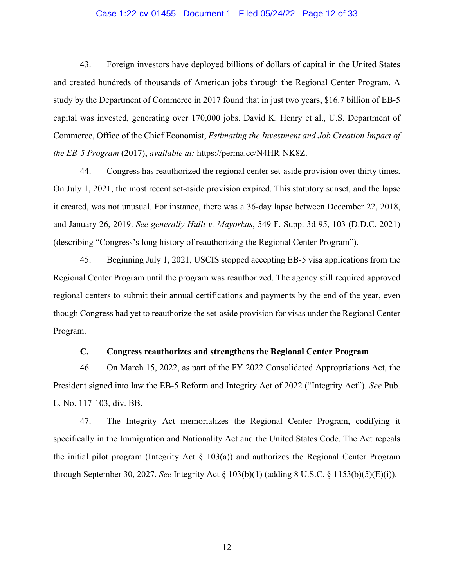#### Case 1:22-cv-01455 Document 1 Filed 05/24/22 Page 12 of 33

43. Foreign investors have deployed billions of dollars of capital in the United States and created hundreds of thousands of American jobs through the Regional Center Program. A study by the Department of Commerce in 2017 found that in just two years, \$16.7 billion of EB-5 capital was invested, generating over 170,000 jobs. David K. Henry et al., U.S. Department of Commerce, Office of the Chief Economist, *Estimating the Investment and Job Creation Impact of the EB-5 Program* (2017), *available at:* https://perma.cc/N4HR-NK8Z.

44. Congress has reauthorized the regional center set-aside provision over thirty times. On July 1, 2021, the most recent set-aside provision expired. This statutory sunset, and the lapse it created, was not unusual. For instance, there was a 36-day lapse between December 22, 2018, and January 26, 2019. *See generally Hulli v. Mayorkas*, 549 F. Supp. 3d 95, 103 (D.D.C. 2021) (describing "Congress's long history of reauthorizing the Regional Center Program").

45. Beginning July 1, 2021, USCIS stopped accepting EB-5 visa applications from the Regional Center Program until the program was reauthorized. The agency still required approved regional centers to submit their annual certifications and payments by the end of the year, even though Congress had yet to reauthorize the set-aside provision for visas under the Regional Center Program.

## **C. Congress reauthorizes and strengthens the Regional Center Program**

46. On March 15, 2022, as part of the FY 2022 Consolidated Appropriations Act, the President signed into law the EB-5 Reform and Integrity Act of 2022 ("Integrity Act"). *See* Pub. L. No. 117-103, div. BB.

47. The Integrity Act memorializes the Regional Center Program, codifying it specifically in the Immigration and Nationality Act and the United States Code. The Act repeals the initial pilot program (Integrity Act  $\S$  103(a)) and authorizes the Regional Center Program through September 30, 2027. *See* Integrity Act § 103(b)(1) (adding 8 U.S.C. § 1153(b)(5)(E)(i)).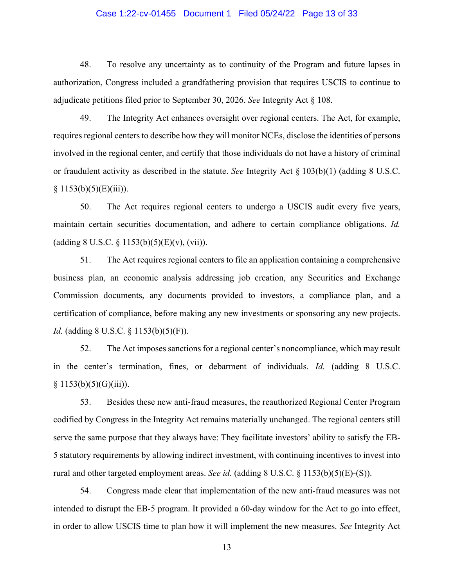#### Case 1:22-cv-01455 Document 1 Filed 05/24/22 Page 13 of 33

48. To resolve any uncertainty as to continuity of the Program and future lapses in authorization, Congress included a grandfathering provision that requires USCIS to continue to adjudicate petitions filed prior to September 30, 2026. *See* Integrity Act § 108.

49. The Integrity Act enhances oversight over regional centers. The Act, for example, requires regional centers to describe how they will monitor NCEs, disclose the identities of persons involved in the regional center, and certify that those individuals do not have a history of criminal or fraudulent activity as described in the statute. *See* Integrity Act § 103(b)(1) (adding 8 U.S.C.  $§ 1153(b)(5)(E)(iii)).$ 

50. The Act requires regional centers to undergo a USCIS audit every five years, maintain certain securities documentation, and adhere to certain compliance obligations. *Id.* (adding 8 U.S.C.  $\S 1153(b)(5)(E)(v)$ , (vii)).

51. The Act requires regional centers to file an application containing a comprehensive business plan, an economic analysis addressing job creation, any Securities and Exchange Commission documents, any documents provided to investors, a compliance plan, and a certification of compliance, before making any new investments or sponsoring any new projects. *Id.* (adding 8 U.S.C. § 1153(b)(5)(F)).

52. The Act imposes sanctions for a regional center's noncompliance, which may result in the center's termination, fines, or debarment of individuals. *Id.* (adding 8 U.S.C.  $§ 1153(b)(5)(G)(iii)).$ 

53. Besides these new anti-fraud measures, the reauthorized Regional Center Program codified by Congress in the Integrity Act remains materially unchanged. The regional centers still serve the same purpose that they always have: They facilitate investors' ability to satisfy the EB-5 statutory requirements by allowing indirect investment, with continuing incentives to invest into rural and other targeted employment areas. *See id.* (adding 8 U.S.C. § 1153(b)(5)(E)-(S)).

54. Congress made clear that implementation of the new anti-fraud measures was not intended to disrupt the EB-5 program. It provided a 60-day window for the Act to go into effect, in order to allow USCIS time to plan how it will implement the new measures. *See* Integrity Act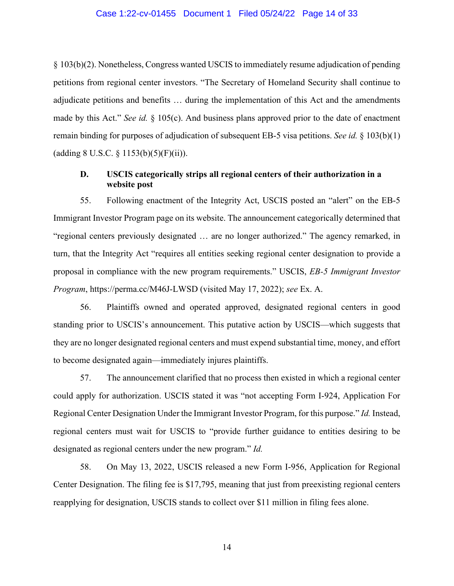#### Case 1:22-cv-01455 Document 1 Filed 05/24/22 Page 14 of 33

§ 103(b)(2). Nonetheless, Congress wanted USCIS to immediately resume adjudication of pending petitions from regional center investors. "The Secretary of Homeland Security shall continue to adjudicate petitions and benefits … during the implementation of this Act and the amendments made by this Act." *See id.* § 105(c). And business plans approved prior to the date of enactment remain binding for purposes of adjudication of subsequent EB-5 visa petitions. *See id.* § 103(b)(1) (adding 8 U.S.C.  $\S$  1153(b)(5)(F)(ii)).

## **D. USCIS categorically strips all regional centers of their authorization in a website post**

55. Following enactment of the Integrity Act, USCIS posted an "alert" on the EB-5 Immigrant Investor Program page on its website. The announcement categorically determined that "regional centers previously designated … are no longer authorized." The agency remarked, in turn, that the Integrity Act "requires all entities seeking regional center designation to provide a proposal in compliance with the new program requirements." USCIS, *EB-5 Immigrant Investor Program*, https://perma.cc/M46J-LWSD (visited May 17, 2022); *see* Ex. A.

56. Plaintiffs owned and operated approved, designated regional centers in good standing prior to USCIS's announcement. This putative action by USCIS—which suggests that they are no longer designated regional centers and must expend substantial time, money, and effort to become designated again—immediately injures plaintiffs.

57. The announcement clarified that no process then existed in which a regional center could apply for authorization. USCIS stated it was "not accepting Form I-924, Application For Regional Center Designation Under the Immigrant Investor Program, for this purpose." *Id.* Instead, regional centers must wait for USCIS to "provide further guidance to entities desiring to be designated as regional centers under the new program." *Id.*

58. On May 13, 2022, USCIS released a new Form I-956, Application for Regional Center Designation. The filing fee is \$17,795, meaning that just from preexisting regional centers reapplying for designation, USCIS stands to collect over \$11 million in filing fees alone.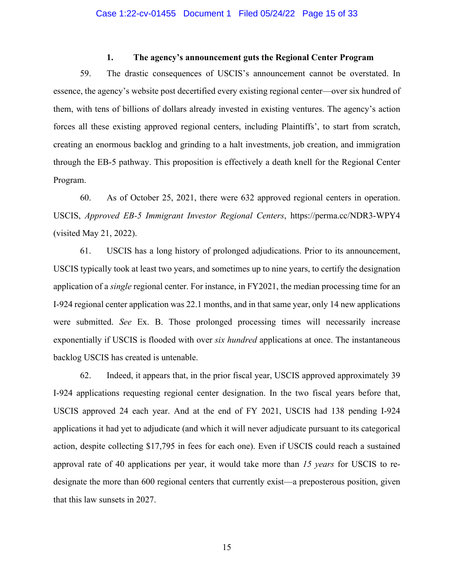### **1. The agency's announcement guts the Regional Center Program**

59. The drastic consequences of USCIS's announcement cannot be overstated. In essence, the agency's website post decertified every existing regional center—over six hundred of them, with tens of billions of dollars already invested in existing ventures. The agency's action forces all these existing approved regional centers, including Plaintiffs', to start from scratch, creating an enormous backlog and grinding to a halt investments, job creation, and immigration through the EB-5 pathway. This proposition is effectively a death knell for the Regional Center Program.

60. As of October 25, 2021, there were 632 approved regional centers in operation. USCIS, *Approved EB-5 Immigrant Investor Regional Centers*, https://perma.cc/NDR3-WPY4 (visited May 21, 2022).

61. USCIS has a long history of prolonged adjudications. Prior to its announcement, USCIS typically took at least two years, and sometimes up to nine years, to certify the designation application of a *single* regional center. For instance, in FY2021, the median processing time for an I-924 regional center application was 22.1 months, and in that same year, only 14 new applications were submitted. *See* Ex. B. Those prolonged processing times will necessarily increase exponentially if USCIS is flooded with over *six hundred* applications at once. The instantaneous backlog USCIS has created is untenable.

62. Indeed, it appears that, in the prior fiscal year, USCIS approved approximately 39 I-924 applications requesting regional center designation. In the two fiscal years before that, USCIS approved 24 each year. And at the end of FY 2021, USCIS had 138 pending I-924 applications it had yet to adjudicate (and which it will never adjudicate pursuant to its categorical action, despite collecting \$17,795 in fees for each one). Even if USCIS could reach a sustained approval rate of 40 applications per year, it would take more than *15 years* for USCIS to redesignate the more than 600 regional centers that currently exist—a preposterous position, given that this law sunsets in 2027.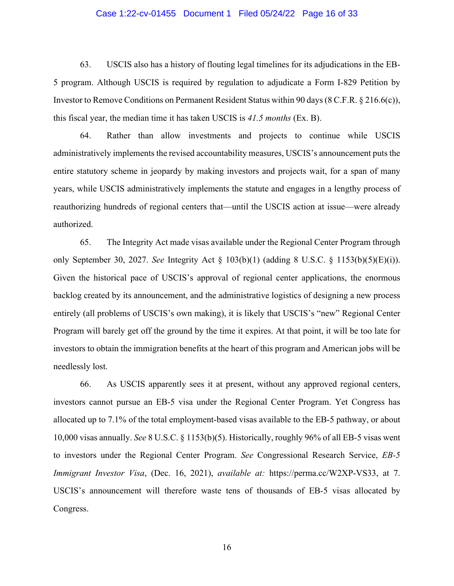#### Case 1:22-cv-01455 Document 1 Filed 05/24/22 Page 16 of 33

63. USCIS also has a history of flouting legal timelines for its adjudications in the EB-5 program. Although USCIS is required by regulation to adjudicate a Form I-829 Petition by Investor to Remove Conditions on Permanent Resident Status within 90 days (8 C.F.R. § 216.6(c)), this fiscal year, the median time it has taken USCIS is *41.5 months* (Ex. B).

64. Rather than allow investments and projects to continue while USCIS administratively implements the revised accountability measures, USCIS's announcement puts the entire statutory scheme in jeopardy by making investors and projects wait, for a span of many years, while USCIS administratively implements the statute and engages in a lengthy process of reauthorizing hundreds of regional centers that—until the USCIS action at issue—were already authorized.

65. The Integrity Act made visas available under the Regional Center Program through only September 30, 2027. *See* Integrity Act § 103(b)(1) (adding 8 U.S.C. § 1153(b)(5)(E)(i)). Given the historical pace of USCIS's approval of regional center applications, the enormous backlog created by its announcement, and the administrative logistics of designing a new process entirely (all problems of USCIS's own making), it is likely that USCIS's "new" Regional Center Program will barely get off the ground by the time it expires. At that point, it will be too late for investors to obtain the immigration benefits at the heart of this program and American jobs will be needlessly lost.

66. As USCIS apparently sees it at present, without any approved regional centers, investors cannot pursue an EB-5 visa under the Regional Center Program. Yet Congress has allocated up to 7.1% of the total employment-based visas available to the EB-5 pathway, or about 10,000 visas annually. *See* 8 U.S.C. § 1153(b)(5). Historically, roughly 96% of all EB-5 visas went to investors under the Regional Center Program. *See* Congressional Research Service, *EB-5 Immigrant Investor Visa*, (Dec. 16, 2021), *available at:* https://perma.cc/W2XP-VS33, at 7. USCIS's announcement will therefore waste tens of thousands of EB-5 visas allocated by Congress.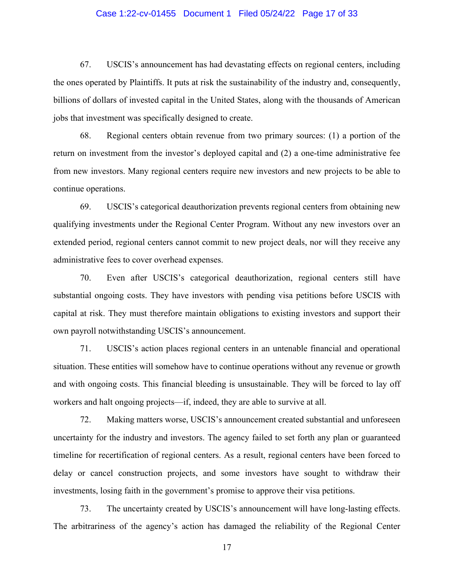#### Case 1:22-cv-01455 Document 1 Filed 05/24/22 Page 17 of 33

67. USCIS's announcement has had devastating effects on regional centers, including the ones operated by Plaintiffs. It puts at risk the sustainability of the industry and, consequently, billions of dollars of invested capital in the United States, along with the thousands of American jobs that investment was specifically designed to create.

68. Regional centers obtain revenue from two primary sources: (1) a portion of the return on investment from the investor's deployed capital and (2) a one-time administrative fee from new investors. Many regional centers require new investors and new projects to be able to continue operations.

69. USCIS's categorical deauthorization prevents regional centers from obtaining new qualifying investments under the Regional Center Program. Without any new investors over an extended period, regional centers cannot commit to new project deals, nor will they receive any administrative fees to cover overhead expenses.

70. Even after USCIS's categorical deauthorization, regional centers still have substantial ongoing costs. They have investors with pending visa petitions before USCIS with capital at risk. They must therefore maintain obligations to existing investors and support their own payroll notwithstanding USCIS's announcement.

71. USCIS's action places regional centers in an untenable financial and operational situation. These entities will somehow have to continue operations without any revenue or growth and with ongoing costs. This financial bleeding is unsustainable. They will be forced to lay off workers and halt ongoing projects—if, indeed, they are able to survive at all.

72. Making matters worse, USCIS's announcement created substantial and unforeseen uncertainty for the industry and investors. The agency failed to set forth any plan or guaranteed timeline for recertification of regional centers. As a result, regional centers have been forced to delay or cancel construction projects, and some investors have sought to withdraw their investments, losing faith in the government's promise to approve their visa petitions.

73. The uncertainty created by USCIS's announcement will have long-lasting effects. The arbitrariness of the agency's action has damaged the reliability of the Regional Center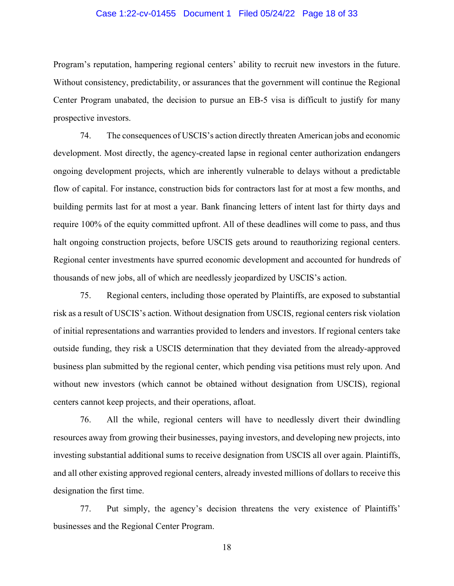#### Case 1:22-cv-01455 Document 1 Filed 05/24/22 Page 18 of 33

Program's reputation, hampering regional centers' ability to recruit new investors in the future. Without consistency, predictability, or assurances that the government will continue the Regional Center Program unabated, the decision to pursue an EB-5 visa is difficult to justify for many prospective investors.

74. The consequences of USCIS's action directly threaten American jobs and economic development. Most directly, the agency-created lapse in regional center authorization endangers ongoing development projects, which are inherently vulnerable to delays without a predictable flow of capital. For instance, construction bids for contractors last for at most a few months, and building permits last for at most a year. Bank financing letters of intent last for thirty days and require 100% of the equity committed upfront. All of these deadlines will come to pass, and thus halt ongoing construction projects, before USCIS gets around to reauthorizing regional centers. Regional center investments have spurred economic development and accounted for hundreds of thousands of new jobs, all of which are needlessly jeopardized by USCIS's action.

75. Regional centers, including those operated by Plaintiffs, are exposed to substantial risk as a result of USCIS's action. Without designation from USCIS, regional centers risk violation of initial representations and warranties provided to lenders and investors. If regional centers take outside funding, they risk a USCIS determination that they deviated from the already-approved business plan submitted by the regional center, which pending visa petitions must rely upon. And without new investors (which cannot be obtained without designation from USCIS), regional centers cannot keep projects, and their operations, afloat.

76. All the while, regional centers will have to needlessly divert their dwindling resources away from growing their businesses, paying investors, and developing new projects, into investing substantial additional sums to receive designation from USCIS all over again. Plaintiffs, and all other existing approved regional centers, already invested millions of dollars to receive this designation the first time.

77. Put simply, the agency's decision threatens the very existence of Plaintiffs' businesses and the Regional Center Program.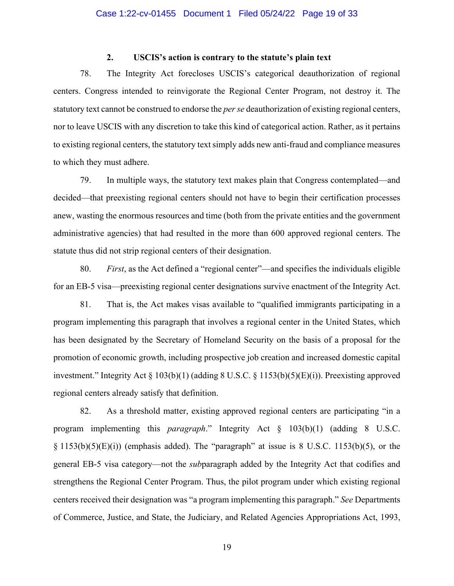### **2. USCIS's action is contrary to the statute's plain text**

78. The Integrity Act forecloses USCIS's categorical deauthorization of regional centers. Congress intended to reinvigorate the Regional Center Program, not destroy it. The statutory text cannot be construed to endorse the *per se* deauthorization of existing regional centers, nor to leave USCIS with any discretion to take this kind of categorical action. Rather, as it pertains to existing regional centers, the statutory text simply adds new anti-fraud and compliance measures to which they must adhere.

79. In multiple ways, the statutory text makes plain that Congress contemplated—and decided—that preexisting regional centers should not have to begin their certification processes anew, wasting the enormous resources and time (both from the private entities and the government administrative agencies) that had resulted in the more than 600 approved regional centers. The statute thus did not strip regional centers of their designation.

80. *First*, as the Act defined a "regional center"—and specifies the individuals eligible for an EB-5 visa—preexisting regional center designations survive enactment of the Integrity Act.

81. That is, the Act makes visas available to "qualified immigrants participating in a program implementing this paragraph that involves a regional center in the United States, which has been designated by the Secretary of Homeland Security on the basis of a proposal for the promotion of economic growth, including prospective job creation and increased domestic capital investment." Integrity Act § 103(b)(1) (adding 8 U.S.C. § 1153(b)(5)(E)(i)). Preexisting approved regional centers already satisfy that definition.

82. As a threshold matter, existing approved regional centers are participating "in a program implementing this *paragraph*." Integrity Act § 103(b)(1) (adding 8 U.S.C.  $\S 1153(b)(5)(E)(i)$  (emphasis added). The "paragraph" at issue is 8 U.S.C. 1153(b)(5), or the general EB-5 visa category—not the *sub*paragraph added by the Integrity Act that codifies and strengthens the Regional Center Program. Thus, the pilot program under which existing regional centers received their designation was "a program implementing this paragraph." *See* Departments of Commerce, Justice, and State, the Judiciary, and Related Agencies Appropriations Act, 1993,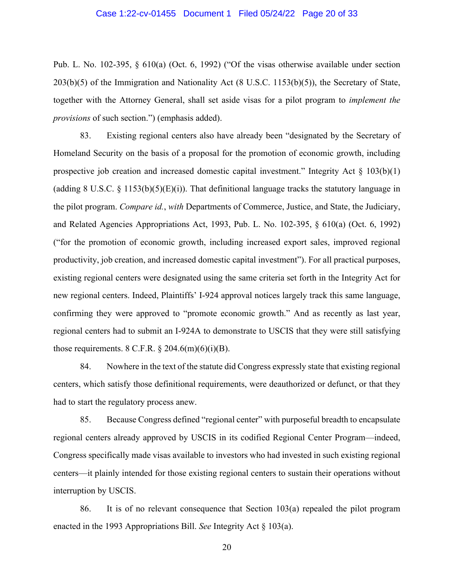#### Case 1:22-cv-01455 Document 1 Filed 05/24/22 Page 20 of 33

Pub. L. No. 102-395, § 610(a) (Oct. 6, 1992) ("Of the visas otherwise available under section 203(b)(5) of the Immigration and Nationality Act (8 U.S.C. 1153(b)(5)), the Secretary of State, together with the Attorney General, shall set aside visas for a pilot program to *implement the provisions* of such section.") (emphasis added).

83. Existing regional centers also have already been "designated by the Secretary of Homeland Security on the basis of a proposal for the promotion of economic growth, including prospective job creation and increased domestic capital investment." Integrity Act § 103(b)(1) (adding 8 U.S.C.  $\S$  1153(b)(5)(E)(i)). That definitional language tracks the statutory language in the pilot program. *Compare id.*, *with* Departments of Commerce, Justice, and State, the Judiciary, and Related Agencies Appropriations Act, 1993, Pub. L. No. 102-395, § 610(a) (Oct. 6, 1992) ("for the promotion of economic growth, including increased export sales, improved regional productivity, job creation, and increased domestic capital investment"). For all practical purposes, existing regional centers were designated using the same criteria set forth in the Integrity Act for new regional centers. Indeed, Plaintiffs' I-924 approval notices largely track this same language, confirming they were approved to "promote economic growth." And as recently as last year, regional centers had to submit an I-924A to demonstrate to USCIS that they were still satisfying those requirements.  $8 \text{ C.F.R.} \$   $204.6 \text{(m)}(6) \text{(i)}(B)$ .

84. Nowhere in the text of the statute did Congress expressly state that existing regional centers, which satisfy those definitional requirements, were deauthorized or defunct, or that they had to start the regulatory process anew.

85. Because Congress defined "regional center" with purposeful breadth to encapsulate regional centers already approved by USCIS in its codified Regional Center Program—indeed, Congress specifically made visas available to investors who had invested in such existing regional centers—it plainly intended for those existing regional centers to sustain their operations without interruption by USCIS.

86. It is of no relevant consequence that Section 103(a) repealed the pilot program enacted in the 1993 Appropriations Bill. *See* Integrity Act § 103(a).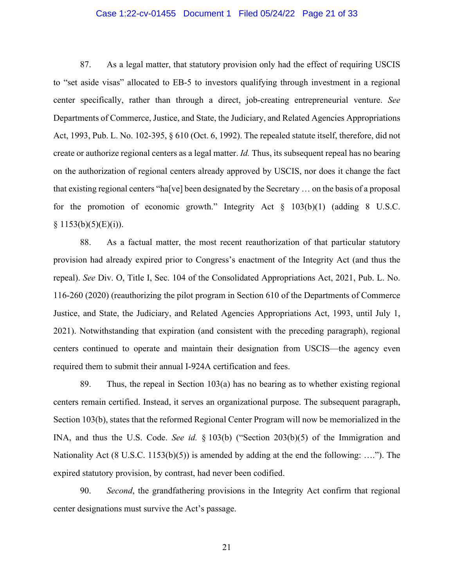#### Case 1:22-cv-01455 Document 1 Filed 05/24/22 Page 21 of 33

87. As a legal matter, that statutory provision only had the effect of requiring USCIS to "set aside visas" allocated to EB-5 to investors qualifying through investment in a regional center specifically, rather than through a direct, job-creating entrepreneurial venture. *See*  Departments of Commerce, Justice, and State, the Judiciary, and Related Agencies Appropriations Act, 1993, Pub. L. No. 102-395, § 610 (Oct. 6, 1992). The repealed statute itself, therefore, did not create or authorize regional centers as a legal matter. *Id.* Thus, its subsequent repeal has no bearing on the authorization of regional centers already approved by USCIS, nor does it change the fact that existing regional centers "ha[ve] been designated by the Secretary … on the basis of a proposal for the promotion of economic growth." Integrity Act  $\S$  103(b)(1) (adding 8 U.S.C.  $§ 1153(b)(5)(E)(i)).$ 

88. As a factual matter, the most recent reauthorization of that particular statutory provision had already expired prior to Congress's enactment of the Integrity Act (and thus the repeal). *See* Div. O, Title I, Sec. 104 of the Consolidated Appropriations Act, 2021, Pub. L. No. 116-260 (2020) (reauthorizing the pilot program in Section 610 of the Departments of Commerce Justice, and State, the Judiciary, and Related Agencies Appropriations Act, 1993, until July 1, 2021). Notwithstanding that expiration (and consistent with the preceding paragraph), regional centers continued to operate and maintain their designation from USCIS—the agency even required them to submit their annual I-924A certification and fees.

89. Thus, the repeal in Section 103(a) has no bearing as to whether existing regional centers remain certified. Instead, it serves an organizational purpose. The subsequent paragraph, Section 103(b), states that the reformed Regional Center Program will now be memorialized in the INA, and thus the U.S. Code. *See id.* § 103(b) ("Section 203(b)(5) of the Immigration and Nationality Act (8 U.S.C. 1153(b)(5)) is amended by adding at the end the following: …."). The expired statutory provision, by contrast, had never been codified.

90. *Second*, the grandfathering provisions in the Integrity Act confirm that regional center designations must survive the Act's passage.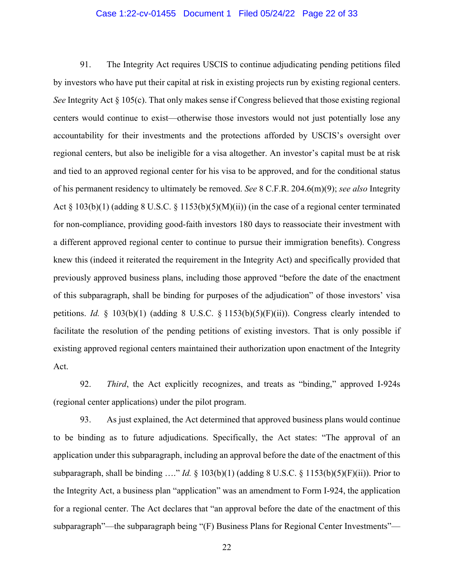#### Case 1:22-cv-01455 Document 1 Filed 05/24/22 Page 22 of 33

91. The Integrity Act requires USCIS to continue adjudicating pending petitions filed by investors who have put their capital at risk in existing projects run by existing regional centers. *See* Integrity Act § 105(c). That only makes sense if Congress believed that those existing regional centers would continue to exist—otherwise those investors would not just potentially lose any accountability for their investments and the protections afforded by USCIS's oversight over regional centers, but also be ineligible for a visa altogether. An investor's capital must be at risk and tied to an approved regional center for his visa to be approved, and for the conditional status of his permanent residency to ultimately be removed. *See* 8 C.F.R. 204.6(m)(9); *see also* Integrity Act § 103(b)(1) (adding 8 U.S.C. § 1153(b)(5)(M)(ii)) (in the case of a regional center terminated for non-compliance, providing good-faith investors 180 days to reassociate their investment with a different approved regional center to continue to pursue their immigration benefits). Congress knew this (indeed it reiterated the requirement in the Integrity Act) and specifically provided that previously approved business plans, including those approved "before the date of the enactment of this subparagraph, shall be binding for purposes of the adjudication" of those investors' visa petitions. *Id.* § 103(b)(1) (adding 8 U.S.C. § 1153(b)(5)(F)(ii)). Congress clearly intended to facilitate the resolution of the pending petitions of existing investors. That is only possible if existing approved regional centers maintained their authorization upon enactment of the Integrity Act.

92. *Third*, the Act explicitly recognizes, and treats as "binding," approved I-924s (regional center applications) under the pilot program.

93. As just explained, the Act determined that approved business plans would continue to be binding as to future adjudications. Specifically, the Act states: "The approval of an application under this subparagraph, including an approval before the date of the enactment of this subparagraph, shall be binding …." *Id.* § 103(b)(1) (adding 8 U.S.C. § 1153(b)(5)(F)(ii)). Prior to the Integrity Act, a business plan "application" was an amendment to Form I-924, the application for a regional center. The Act declares that "an approval before the date of the enactment of this subparagraph"—the subparagraph being "(F) Business Plans for Regional Center Investments"—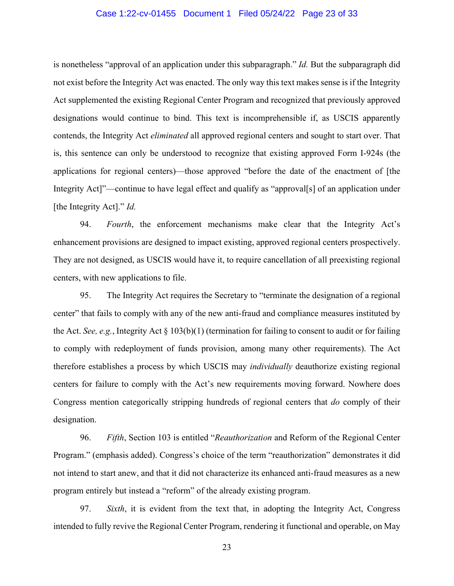#### Case 1:22-cv-01455 Document 1 Filed 05/24/22 Page 23 of 33

is nonetheless "approval of an application under this subparagraph." *Id.* But the subparagraph did not exist before the Integrity Act was enacted. The only way this text makes sense is if the Integrity Act supplemented the existing Regional Center Program and recognized that previously approved designations would continue to bind. This text is incomprehensible if, as USCIS apparently contends, the Integrity Act *eliminated* all approved regional centers and sought to start over. That is, this sentence can only be understood to recognize that existing approved Form I-924s (the applications for regional centers)—those approved "before the date of the enactment of [the Integrity Act]"—continue to have legal effect and qualify as "approval[s] of an application under [the Integrity Act]." *Id.*

94. *Fourth*, the enforcement mechanisms make clear that the Integrity Act's enhancement provisions are designed to impact existing, approved regional centers prospectively. They are not designed, as USCIS would have it, to require cancellation of all preexisting regional centers, with new applications to file.

95. The Integrity Act requires the Secretary to "terminate the designation of a regional center" that fails to comply with any of the new anti-fraud and compliance measures instituted by the Act. *See, e.g.*, Integrity Act § 103(b)(1) (termination for failing to consent to audit or for failing to comply with redeployment of funds provision, among many other requirements). The Act therefore establishes a process by which USCIS may *individually* deauthorize existing regional centers for failure to comply with the Act's new requirements moving forward. Nowhere does Congress mention categorically stripping hundreds of regional centers that *do* comply of their designation.

96. *Fifth*, Section 103 is entitled "*Reauthorization* and Reform of the Regional Center Program." (emphasis added). Congress's choice of the term "reauthorization" demonstrates it did not intend to start anew, and that it did not characterize its enhanced anti-fraud measures as a new program entirely but instead a "reform" of the already existing program.

97. *Sixth*, it is evident from the text that, in adopting the Integrity Act, Congress intended to fully revive the Regional Center Program, rendering it functional and operable, on May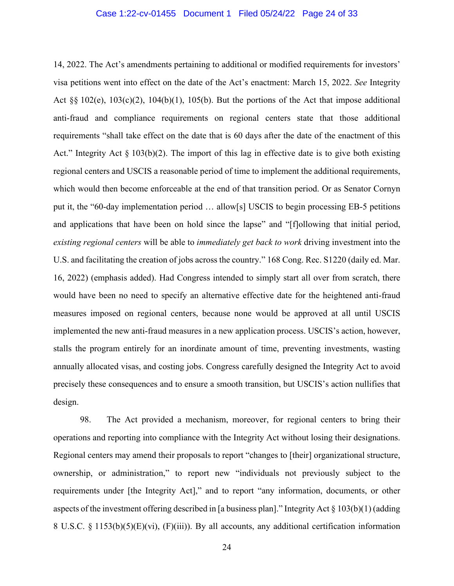#### Case 1:22-cv-01455 Document 1 Filed 05/24/22 Page 24 of 33

14, 2022. The Act's amendments pertaining to additional or modified requirements for investors' visa petitions went into effect on the date of the Act's enactment: March 15, 2022. *See* Integrity Act §§ 102(e), 103(c)(2), 104(b)(1), 105(b). But the portions of the Act that impose additional anti-fraud and compliance requirements on regional centers state that those additional requirements "shall take effect on the date that is 60 days after the date of the enactment of this Act." Integrity Act  $\S 103(b)(2)$ . The import of this lag in effective date is to give both existing regional centers and USCIS a reasonable period of time to implement the additional requirements, which would then become enforceable at the end of that transition period. Or as Senator Cornyn put it, the "60-day implementation period … allow[s] USCIS to begin processing EB-5 petitions and applications that have been on hold since the lapse" and "[f]ollowing that initial period, *existing regional centers* will be able to *immediately get back to work* driving investment into the U.S. and facilitating the creation of jobs across the country." 168 Cong. Rec. S1220 (daily ed. Mar. 16, 2022) (emphasis added). Had Congress intended to simply start all over from scratch, there would have been no need to specify an alternative effective date for the heightened anti-fraud measures imposed on regional centers, because none would be approved at all until USCIS implemented the new anti-fraud measures in a new application process. USCIS's action, however, stalls the program entirely for an inordinate amount of time, preventing investments, wasting annually allocated visas, and costing jobs. Congress carefully designed the Integrity Act to avoid precisely these consequences and to ensure a smooth transition, but USCIS's action nullifies that design.

98. The Act provided a mechanism, moreover, for regional centers to bring their operations and reporting into compliance with the Integrity Act without losing their designations. Regional centers may amend their proposals to report "changes to [their] organizational structure, ownership, or administration," to report new "individuals not previously subject to the requirements under [the Integrity Act]," and to report "any information, documents, or other aspects of the investment offering described in [a business plan]." Integrity Act § 103(b)(1) (adding 8 U.S.C. § 1153(b)(5)(E)(vi), (F)(iii)). By all accounts, any additional certification information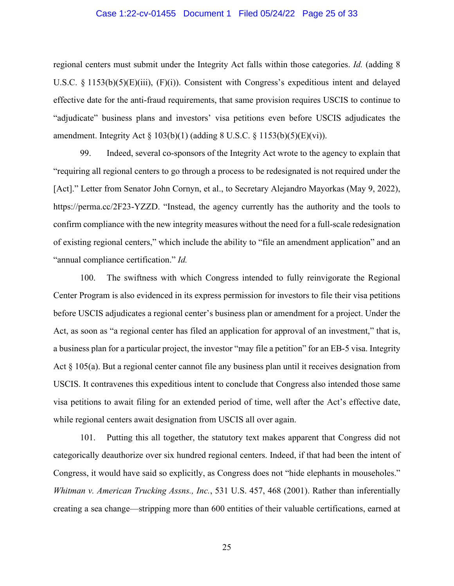#### Case 1:22-cv-01455 Document 1 Filed 05/24/22 Page 25 of 33

regional centers must submit under the Integrity Act falls within those categories. *Id.* (adding 8 U.S.C. § 1153(b)(5)(E)(iii), (F)(i)). Consistent with Congress's expeditious intent and delayed effective date for the anti-fraud requirements, that same provision requires USCIS to continue to "adjudicate" business plans and investors' visa petitions even before USCIS adjudicates the amendment. Integrity Act  $\S 103(b)(1)$  (adding 8 U.S.C.  $\S 1153(b)(5)(E)(vi)$ ).

99. Indeed, several co-sponsors of the Integrity Act wrote to the agency to explain that "requiring all regional centers to go through a process to be redesignated is not required under the [Act]." Letter from Senator John Cornyn, et al., to Secretary Alejandro Mayorkas (May 9, 2022), https://perma.cc/2F23-YZZD. "Instead, the agency currently has the authority and the tools to confirm compliance with the new integrity measures without the need for a full-scale redesignation of existing regional centers," which include the ability to "file an amendment application" and an "annual compliance certification." *Id.*

100. The swiftness with which Congress intended to fully reinvigorate the Regional Center Program is also evidenced in its express permission for investors to file their visa petitions before USCIS adjudicates a regional center's business plan or amendment for a project. Under the Act, as soon as "a regional center has filed an application for approval of an investment," that is, a business plan for a particular project, the investor "may file a petition" for an EB-5 visa. Integrity Act § 105(a). But a regional center cannot file any business plan until it receives designation from USCIS. It contravenes this expeditious intent to conclude that Congress also intended those same visa petitions to await filing for an extended period of time, well after the Act's effective date, while regional centers await designation from USCIS all over again.

101. Putting this all together, the statutory text makes apparent that Congress did not categorically deauthorize over six hundred regional centers. Indeed, if that had been the intent of Congress, it would have said so explicitly, as Congress does not "hide elephants in mouseholes." *Whitman v. American Trucking Assns., Inc.*, 531 U.S. 457, 468 (2001). Rather than inferentially creating a sea change—stripping more than 600 entities of their valuable certifications, earned at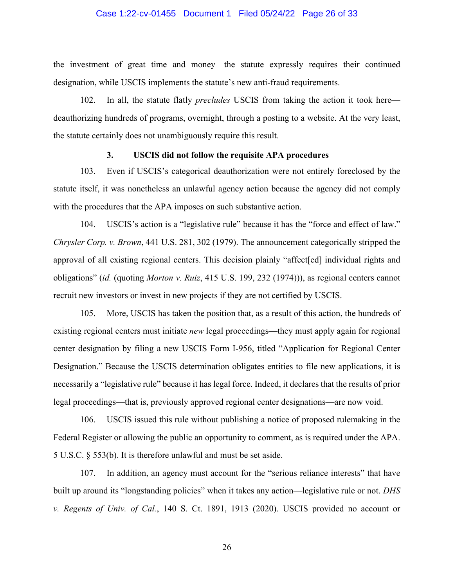#### Case 1:22-cv-01455 Document 1 Filed 05/24/22 Page 26 of 33

the investment of great time and money—the statute expressly requires their continued designation, while USCIS implements the statute's new anti-fraud requirements.

102. In all, the statute flatly *precludes* USCIS from taking the action it took here deauthorizing hundreds of programs, overnight, through a posting to a website. At the very least, the statute certainly does not unambiguously require this result.

### **3. USCIS did not follow the requisite APA procedures**

103. Even if USCIS's categorical deauthorization were not entirely foreclosed by the statute itself, it was nonetheless an unlawful agency action because the agency did not comply with the procedures that the APA imposes on such substantive action.

104. USCIS's action is a "legislative rule" because it has the "force and effect of law." *Chrysler Corp. v. Brown*, 441 U.S. 281, 302 (1979). The announcement categorically stripped the approval of all existing regional centers. This decision plainly "affect[ed] individual rights and obligations" (*id.* (quoting *Morton v. Ruiz*, 415 U.S. 199, 232 (1974))), as regional centers cannot recruit new investors or invest in new projects if they are not certified by USCIS.

105. More, USCIS has taken the position that, as a result of this action, the hundreds of existing regional centers must initiate *new* legal proceedings—they must apply again for regional center designation by filing a new USCIS Form I-956, titled "Application for Regional Center Designation." Because the USCIS determination obligates entities to file new applications, it is necessarily a "legislative rule" because it has legal force. Indeed, it declares that the results of prior legal proceedings—that is, previously approved regional center designations—are now void.

106. USCIS issued this rule without publishing a notice of proposed rulemaking in the Federal Register or allowing the public an opportunity to comment, as is required under the APA. 5 U.S.C. § 553(b). It is therefore unlawful and must be set aside.

107. In addition, an agency must account for the "serious reliance interests" that have built up around its "longstanding policies" when it takes any action—legislative rule or not. *DHS v. Regents of Univ. of Cal.*, 140 S. Ct. 1891, 1913 (2020). USCIS provided no account or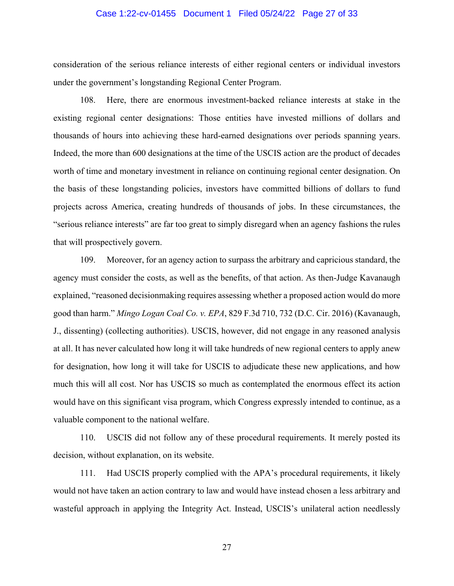#### Case 1:22-cv-01455 Document 1 Filed 05/24/22 Page 27 of 33

consideration of the serious reliance interests of either regional centers or individual investors under the government's longstanding Regional Center Program.

108. Here, there are enormous investment-backed reliance interests at stake in the existing regional center designations: Those entities have invested millions of dollars and thousands of hours into achieving these hard-earned designations over periods spanning years. Indeed, the more than 600 designations at the time of the USCIS action are the product of decades worth of time and monetary investment in reliance on continuing regional center designation. On the basis of these longstanding policies, investors have committed billions of dollars to fund projects across America, creating hundreds of thousands of jobs. In these circumstances, the "serious reliance interests" are far too great to simply disregard when an agency fashions the rules that will prospectively govern.

109. Moreover, for an agency action to surpass the arbitrary and capricious standard, the agency must consider the costs, as well as the benefits, of that action. As then-Judge Kavanaugh explained, "reasoned decisionmaking requires assessing whether a proposed action would do more good than harm." *Mingo Logan Coal Co. v. EPA*, 829 F.3d 710, 732 (D.C. Cir. 2016) (Kavanaugh, J., dissenting) (collecting authorities). USCIS, however, did not engage in any reasoned analysis at all. It has never calculated how long it will take hundreds of new regional centers to apply anew for designation, how long it will take for USCIS to adjudicate these new applications, and how much this will all cost. Nor has USCIS so much as contemplated the enormous effect its action would have on this significant visa program, which Congress expressly intended to continue, as a valuable component to the national welfare.

110. USCIS did not follow any of these procedural requirements. It merely posted its decision, without explanation, on its website.

111. Had USCIS properly complied with the APA's procedural requirements, it likely would not have taken an action contrary to law and would have instead chosen a less arbitrary and wasteful approach in applying the Integrity Act. Instead, USCIS's unilateral action needlessly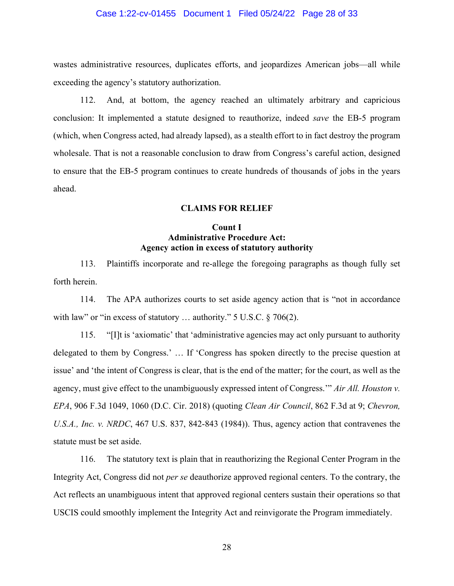#### Case 1:22-cv-01455 Document 1 Filed 05/24/22 Page 28 of 33

wastes administrative resources, duplicates efforts, and jeopardizes American jobs—all while exceeding the agency's statutory authorization.

112. And, at bottom, the agency reached an ultimately arbitrary and capricious conclusion: It implemented a statute designed to reauthorize, indeed *save* the EB-5 program (which, when Congress acted, had already lapsed), as a stealth effort to in fact destroy the program wholesale. That is not a reasonable conclusion to draw from Congress's careful action, designed to ensure that the EB-5 program continues to create hundreds of thousands of jobs in the years ahead.

#### **CLAIMS FOR RELIEF**

## **Count I Administrative Procedure Act: Agency action in excess of statutory authority**

113. Plaintiffs incorporate and re-allege the foregoing paragraphs as though fully set forth herein.

114. The APA authorizes courts to set aside agency action that is "not in accordance with law" or "in excess of statutory ... authority." 5 U.S.C. § 706(2).

115. "[I]t is 'axiomatic' that 'administrative agencies may act only pursuant to authority delegated to them by Congress.' … If 'Congress has spoken directly to the precise question at issue' and 'the intent of Congress is clear, that is the end of the matter; for the court, as well as the agency, must give effect to the unambiguously expressed intent of Congress.'" *Air All. Houston v. EPA*, 906 F.3d 1049, 1060 (D.C. Cir. 2018) (quoting *Clean Air Council*, 862 F.3d at 9; *Chevron, U.S.A., Inc. v. NRDC*, 467 U.S. 837, 842-843 (1984)). Thus, agency action that contravenes the statute must be set aside.

116. The statutory text is plain that in reauthorizing the Regional Center Program in the Integrity Act, Congress did not *per se* deauthorize approved regional centers. To the contrary, the Act reflects an unambiguous intent that approved regional centers sustain their operations so that USCIS could smoothly implement the Integrity Act and reinvigorate the Program immediately.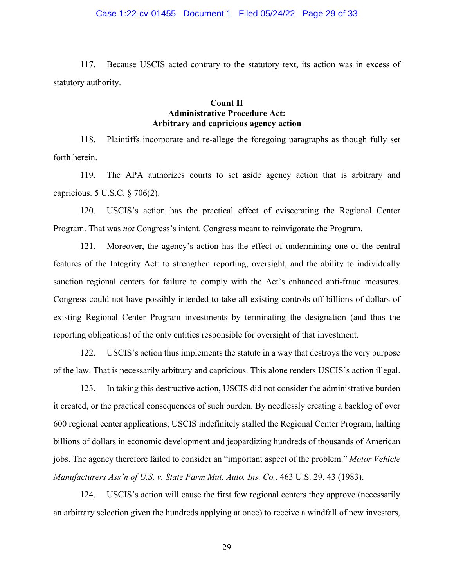#### Case 1:22-cv-01455 Document 1 Filed 05/24/22 Page 29 of 33

117. Because USCIS acted contrary to the statutory text, its action was in excess of statutory authority.

## **Count II Administrative Procedure Act: Arbitrary and capricious agency action**

118. Plaintiffs incorporate and re-allege the foregoing paragraphs as though fully set forth herein.

119. The APA authorizes courts to set aside agency action that is arbitrary and capricious. 5 U.S.C. § 706(2).

120. USCIS's action has the practical effect of eviscerating the Regional Center Program. That was *not* Congress's intent. Congress meant to reinvigorate the Program.

121. Moreover, the agency's action has the effect of undermining one of the central features of the Integrity Act: to strengthen reporting, oversight, and the ability to individually sanction regional centers for failure to comply with the Act's enhanced anti-fraud measures. Congress could not have possibly intended to take all existing controls off billions of dollars of existing Regional Center Program investments by terminating the designation (and thus the reporting obligations) of the only entities responsible for oversight of that investment.

122. USCIS's action thus implements the statute in a way that destroys the very purpose of the law. That is necessarily arbitrary and capricious. This alone renders USCIS's action illegal.

123. In taking this destructive action, USCIS did not consider the administrative burden it created, or the practical consequences of such burden. By needlessly creating a backlog of over 600 regional center applications, USCIS indefinitely stalled the Regional Center Program, halting billions of dollars in economic development and jeopardizing hundreds of thousands of American jobs. The agency therefore failed to consider an "important aspect of the problem." *Motor Vehicle Manufacturers Ass'n of U.S. v. State Farm Mut. Auto. Ins. Co.*, 463 U.S. 29, 43 (1983).

124. USCIS's action will cause the first few regional centers they approve (necessarily an arbitrary selection given the hundreds applying at once) to receive a windfall of new investors,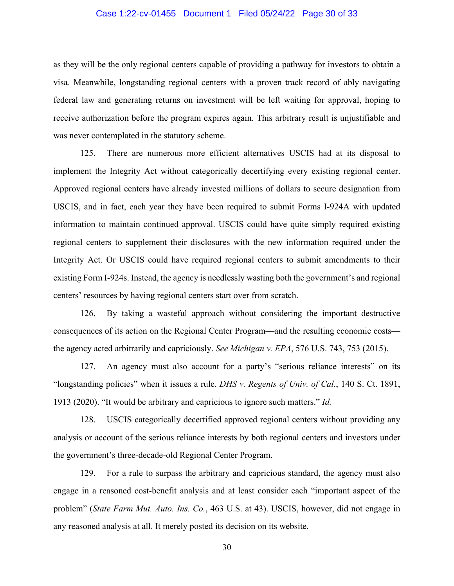#### Case 1:22-cv-01455 Document 1 Filed 05/24/22 Page 30 of 33

as they will be the only regional centers capable of providing a pathway for investors to obtain a visa. Meanwhile, longstanding regional centers with a proven track record of ably navigating federal law and generating returns on investment will be left waiting for approval, hoping to receive authorization before the program expires again. This arbitrary result is unjustifiable and was never contemplated in the statutory scheme.

125. There are numerous more efficient alternatives USCIS had at its disposal to implement the Integrity Act without categorically decertifying every existing regional center. Approved regional centers have already invested millions of dollars to secure designation from USCIS, and in fact, each year they have been required to submit Forms I-924A with updated information to maintain continued approval. USCIS could have quite simply required existing regional centers to supplement their disclosures with the new information required under the Integrity Act. Or USCIS could have required regional centers to submit amendments to their existing Form I-924s. Instead, the agency is needlessly wasting both the government's and regional centers' resources by having regional centers start over from scratch.

126. By taking a wasteful approach without considering the important destructive consequences of its action on the Regional Center Program—and the resulting economic costs the agency acted arbitrarily and capriciously. *See Michigan v. EPA*, 576 U.S. 743, 753 (2015).

127. An agency must also account for a party's "serious reliance interests" on its "longstanding policies" when it issues a rule. *DHS v. Regents of Univ. of Cal.*, 140 S. Ct. 1891, 1913 (2020). "It would be arbitrary and capricious to ignore such matters." *Id.*

128. USCIS categorically decertified approved regional centers without providing any analysis or account of the serious reliance interests by both regional centers and investors under the government's three-decade-old Regional Center Program.

129. For a rule to surpass the arbitrary and capricious standard, the agency must also engage in a reasoned cost-benefit analysis and at least consider each "important aspect of the problem" (*State Farm Mut. Auto. Ins. Co.*, 463 U.S. at 43). USCIS, however, did not engage in any reasoned analysis at all. It merely posted its decision on its website.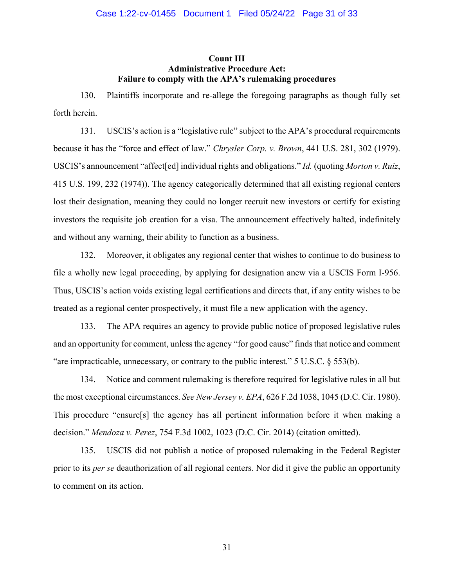## **Count III Administrative Procedure Act: Failure to comply with the APA's rulemaking procedures**

130. Plaintiffs incorporate and re-allege the foregoing paragraphs as though fully set forth herein.

131. USCIS's action is a "legislative rule" subject to the APA's procedural requirements because it has the "force and effect of law." *Chrysler Corp. v. Brown*, 441 U.S. 281, 302 (1979). USCIS's announcement "affect[ed] individual rights and obligations." *Id.* (quoting *Morton v. Ruiz*, 415 U.S. 199, 232 (1974)). The agency categorically determined that all existing regional centers lost their designation, meaning they could no longer recruit new investors or certify for existing investors the requisite job creation for a visa. The announcement effectively halted, indefinitely and without any warning, their ability to function as a business.

132. Moreover, it obligates any regional center that wishes to continue to do business to file a wholly new legal proceeding, by applying for designation anew via a USCIS Form I-956. Thus, USCIS's action voids existing legal certifications and directs that, if any entity wishes to be treated as a regional center prospectively, it must file a new application with the agency.

133. The APA requires an agency to provide public notice of proposed legislative rules and an opportunity for comment, unless the agency "for good cause" finds that notice and comment "are impracticable, unnecessary, or contrary to the public interest." 5 U.S.C. § 553(b).

134. Notice and comment rulemaking is therefore required for legislative rules in all but the most exceptional circumstances. *See New Jersey v. EPA*, 626 F.2d 1038, 1045 (D.C. Cir. 1980). This procedure "ensure[s] the agency has all pertinent information before it when making a decision." *Mendoza v. Perez*, 754 F.3d 1002, 1023 (D.C. Cir. 2014) (citation omitted).

135. USCIS did not publish a notice of proposed rulemaking in the Federal Register prior to its *per se* deauthorization of all regional centers. Nor did it give the public an opportunity to comment on its action.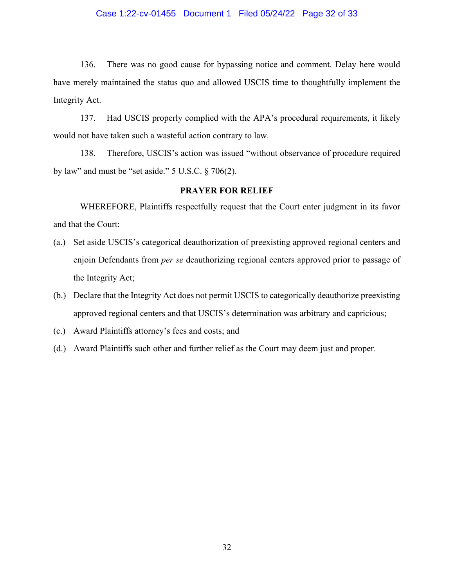#### Case 1:22-cv-01455 Document 1 Filed 05/24/22 Page 32 of 33

136. There was no good cause for bypassing notice and comment. Delay here would have merely maintained the status quo and allowed USCIS time to thoughtfully implement the Integrity Act.

137. Had USCIS properly complied with the APA's procedural requirements, it likely would not have taken such a wasteful action contrary to law.

138. Therefore, USCIS's action was issued "without observance of procedure required by law" and must be "set aside." 5 U.S.C. § 706(2).

## **PRAYER FOR RELIEF**

WHEREFORE, Plaintiffs respectfully request that the Court enter judgment in its favor and that the Court:

- (a.) Set aside USCIS's categorical deauthorization of preexisting approved regional centers and enjoin Defendants from *per se* deauthorizing regional centers approved prior to passage of the Integrity Act;
- (b.) Declare that the Integrity Act does not permit USCIS to categorically deauthorize preexisting approved regional centers and that USCIS's determination was arbitrary and capricious;
- (c.) Award Plaintiffs attorney's fees and costs; and
- (d.) Award Plaintiffs such other and further relief as the Court may deem just and proper.